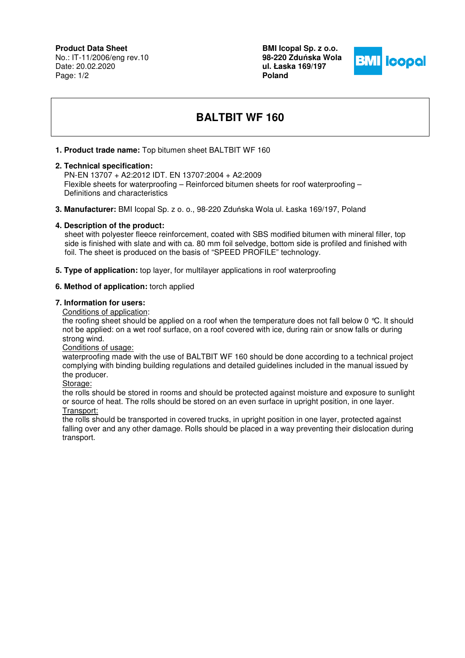## **Product Data Sheet**

No.: IT-11/2006/eng rev.10 Date: 20.02.2020 Page: 1/2

**BMI Icopal Sp. z o.o. 98-220 Zdu**ń**ska Wola ul. Łaska 169/197 Poland** 



# **BALTBIT WF 160**

#### **1. Product trade name:** Top bitumen sheet BALTBIT WF 160

#### **2. Technical specification:**

 PN-EN 13707 + A2:2012 IDT. EN 13707:2004 + A2:2009 Flexible sheets for waterproofing – Reinforced bitumen sheets for roof waterproofing – Definitions and characteristics

**3. Manufacturer:** BMI Icopal Sp. z o. o., 98-220 Zduńska Wola ul. Łaska 169/197, Poland

#### **4. Description of the product:**

 sheet with polyester fleece reinforcement, coated with SBS modified bitumen with mineral filler, top side is finished with slate and with ca. 80 mm foil selvedge, bottom side is profiled and finished with foil. The sheet is produced on the basis of "SPEED PROFILE" technology.

**5. Type of application:** top layer, for multilayer applications in roof waterproofing

### **6. Method of application:** torch applied

#### **7. Information for users:**

Conditions of application:

the roofing sheet should be applied on a roof when the temperature does not fall below 0 °C. It should not be applied: on a wet roof surface, on a roof covered with ice, during rain or snow falls or during strong wind.

Conditions of usage:

waterproofing made with the use of BALTBIT WF 160 should be done according to a technical project complying with binding building regulations and detailed guidelines included in the manual issued by the producer.

Storage:

the rolls should be stored in rooms and should be protected against moisture and exposure to sunlight or source of heat. The rolls should be stored on an even surface in upright position, in one layer. Transport:

the rolls should be transported in covered trucks, in upright position in one layer, protected against falling over and any other damage. Rolls should be placed in a way preventing their dislocation during transport.